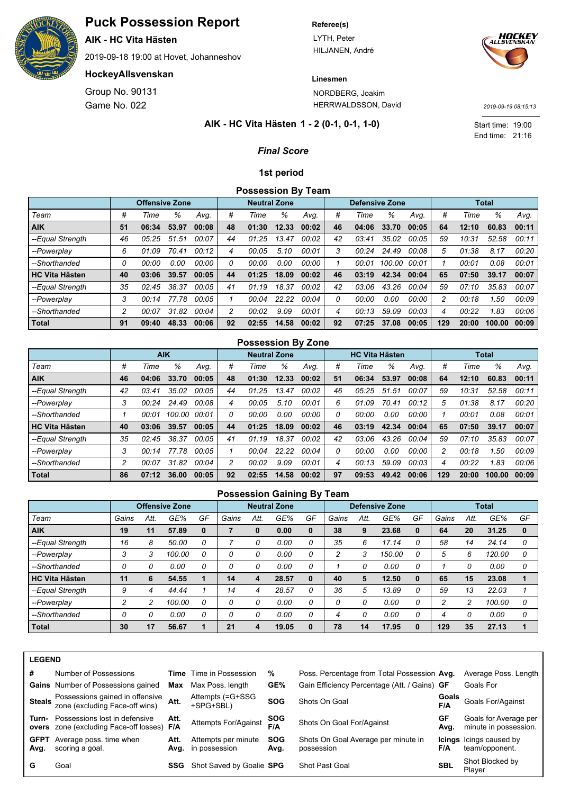

LYTH, Peter HILJANEN, André





**Linesmen** NORDBERG, Joakim

HERRWALDSSON, David

End time: 21:16 Start time: 19:00

*2019-09-19 08:15:13*

## **1 - 2 (0-1, 0-1, 1-0) AIK - HC Vita Hästen**

## *Final Score*

### **1st period**

**Possession By Team**

|                       |    | <b>Offensive Zone</b> |       |       |    | <b>Neutral Zone</b> |       |       |    | <b>Defensive Zone</b> |        |       |     |       | <b>Total</b> |       |
|-----------------------|----|-----------------------|-------|-------|----|---------------------|-------|-------|----|-----------------------|--------|-------|-----|-------|--------------|-------|
| Team                  | #  | Time                  | %     | Avq.  | #  | Time                | ℅     | Avq.  | #  | Time                  | %      | Avq.  | #   | Time  | %            | Avq.  |
| <b>AIK</b>            | 51 | 06:34                 | 53.97 | 00:08 | 48 | 01:30               | 12.33 | 00:02 | 46 | 04:06                 | 33.70  | 00:05 | 64  | 12:10 | 60.83        | 00:11 |
| --Equal Strength      | 46 | 05:25                 | 51.51 | 00:07 | 44 | 01:25               | 13.47 | 00:02 | 42 | 03:41                 | 35.02  | 00:05 | 59  | 10:31 | 52.58        | 00:11 |
| --Powerplay           | 6  | 01:09                 | 70.41 | 00:12 | 4  | 00:05               | 5.10  | 00:01 | 3  | 00:24                 | 24.49  | 00:08 | 5   | 01:38 | 8.17         | 00:20 |
| --Shorthanded         | Ω  | 00:00                 | 0.00  | 00:00 | 0  | 00:00               | 0.00  | 00:00 |    | 00:01                 | 100.00 | 00:01 |     | 00:01 | 0.08         | 00:01 |
| <b>HC Vita Hästen</b> | 40 | 03:06                 | 39.57 | 00:05 | 44 | 01:25               | 18.09 | 00:02 | 46 | 03:19                 | 42.34  | 00:04 | 65  | 07:50 | 39.17        | 00:07 |
| --Equal Strength      | 35 | 02:45                 | 38.37 | 00:05 | 41 | 01:19               | 18.37 | 00:02 | 42 | 03:06                 | 43.26  | 00:04 | 59  | 07:10 | 35.83        | 00:07 |
| --Powerplay           | 3  | 00:14                 | 77.78 | 00:05 |    | 00:04               | 22.22 | 00:04 |    | 00:00                 | 0.00   | 00:00 | 2   | 00:18 | 1.50         | 00:09 |
| --Shorthanded         | 2  | 00:07                 | 31.82 | 00:04 | 2  | 00:02               | 9.09  | 00:01 | 4  | 00:13                 | 59.09  | 00:03 | 4   | 00:22 | 1.83         | 00:06 |
| <b>Total</b>          | 91 | 09:40                 | 48.33 | 00:06 | 92 | 02:55               | 14.58 | 00:02 | 92 | 07:25                 | 37.08  | 00:05 | 129 | 20:00 | 100.00       | 00:09 |

### **Possession By Zone**

|                       |    |       | <b>AIK</b> |       |    | <b>Neutral Zone</b> |       |       |    | <b>HC Vita Hästen</b> |       |       |     |       | <b>Total</b> |       |
|-----------------------|----|-------|------------|-------|----|---------------------|-------|-------|----|-----------------------|-------|-------|-----|-------|--------------|-------|
| Team                  | #  | Time  | %          | Avq.  | #  | Time                | %     | Avq.  | #  | Time                  | %     | Avq.  | #   | Time  | %            | Avq.  |
| <b>AIK</b>            | 46 | 04:06 | 33.70      | 00:05 | 48 | 01:30               | 12.33 | 00:02 | 51 | 06:34                 | 53.97 | 00:08 | 64  | 12:10 | 60.83        | 00:11 |
| --Equal Strength      | 42 | 03:41 | 35.02      | 00:05 | 44 | 01:25               | 13.47 | 00:02 | 46 | 05:25                 | 51.51 | 00:07 | 59  | 10:31 | 52.58        | 00:11 |
| --Powerplay           | 3  | 00:24 | 24.49      | 00:08 | 4  | 00:05               | 5.10  | 00:01 | 6  | 01:09                 | 70.41 | 00:12 | 5   | 01:38 | 8.17         | 00:20 |
| --Shorthanded         |    | 00:01 | 100.00     | 00:01 | 0  | 00:00               | 0.00  | 00:00 | 0  | 00:00                 | 0.00  | 00:00 |     | 00:01 | 0.08         | 00:01 |
| <b>HC Vita Hästen</b> | 40 | 03:06 | 39.57      | 00:05 | 44 | 01:25               | 18.09 | 00:02 | 46 | 03:19                 | 42.34 | 00:04 | 65  | 07:50 | 39.17        | 00:07 |
| --Equal Strength      | 35 | 02:45 | 38.37      | 00:05 | 41 | 01:19               | 18.37 | 00:02 | 42 | 03:06                 | 43.26 | 00:04 | 59  | 07:10 | 35.83        | 00:07 |
| --Powerplay           | 3  | 00:14 | 77.78      | 00:05 |    | 00:04               | 22.22 | 00:04 |    | 00:00                 | 0.00  | 00:00 |     | 00:18 | 1.50         | 00:09 |
| --Shorthanded         | 2  | 00:07 | 31.82      | 00:04 | 2  | 00:02               | 9.09  | 00:01 | 4  | 00:13                 | 59.09 | 00:03 | 4   | 00:22 | 1.83         | 00:06 |
| Total                 | 86 | 07:12 | 36.00      | 00:05 | 92 | 02:55               | 14.58 | 00:02 | 97 | 09:53                 | 49.42 | 00:06 | 129 | 20:00 | 100.00       | 00:09 |

#### **Possession Gaining By Team**

|                       |       |      | <b>Offensive Zone</b> |          |       |      | <b>Neutral Zone</b> |    |       |      | <b>Defensive Zone</b> |    |       |      | <b>Total</b> |          |
|-----------------------|-------|------|-----------------------|----------|-------|------|---------------------|----|-------|------|-----------------------|----|-------|------|--------------|----------|
| Team                  | Gains | Att. | GE%                   | GF       | Gains | Att. | GE%                 | GF | Gains | Att. | GE%                   | GF | Gains | Att. | GE%          | GF       |
| <b>AIK</b>            | 19    | 11   | 57.89                 | $\bf{0}$ |       | 0    | 0.00                | 0  | 38    | 9    | 23.68                 | 0  | 64    | 20   | 31.25        | $\bf{0}$ |
| --Equal Strength      | 16    | 8    | 50.00                 | 0        |       | 0    | 0.00                | 0  | 35    | 6    | 17.14                 | Ω  | 58    | 14   | 24.14        | 0        |
| --Powerplay           | 3     | 3    | 100.00                |          |       | 0    | 0.00                | 0  | っ     |      | 150.00                |    | 5     | 6    | 120.00       | 0        |
| --Shorthanded         | 0     | 0    | 0.00                  | 0        |       | 0    | 0.00                | 0  |       |      | 0.00                  | 0  |       | 0    | 0.00         | 0        |
| <b>HC Vita Hästen</b> | 11    | 6    | 54.55                 |          | 14    | 4    | 28.57               | 0  | 40    | 5    | 12.50                 | 0  | 65    | 15   | 23.08        |          |
| --Equal Strength      | 9     | 4    | 44.44                 |          | 14    | 4    | 28.57               | 0  | 36    | 5    | 13.89                 | n  | 59    | 13   | 22.03        |          |
| --Powerplay           | 2     | 2    | 100.00                | 0        |       | 0    | 0.00                | 0  |       |      | 0.00                  | 0  | n     | 2    | 100.00       | 0        |
| --Shorthanded         | 0     | 0    | 0.00                  | 0        |       | 0    | 0.00                | 0  | 4     |      | 0.00                  | 0  |       | 0    | 0.00         | 0        |
| <b>Total</b>          | 30    | 17   | 56.67                 |          | 21    |      | 19.05               | 0  | 78    | 14   | 17.95                 | 0  | 129   | 35   | 27.13        |          |

|   | N<br>в |  |
|---|--------|--|
| œ | ↽      |  |

| #                   | Number of Possessions                                                                    |      | <b>Time</b> Time in Possession            | %                  | Poss. Percentage from Total Possession Avg.       |            | Average Poss. Length                             |
|---------------------|------------------------------------------------------------------------------------------|------|-------------------------------------------|--------------------|---------------------------------------------------|------------|--------------------------------------------------|
|                     | <b>Gains</b> Number of Possessions gained                                                | Max  | Max Poss. length                          | GE%                | Gain Efficiency Percentage (Att. / Gains) GF      |            | Goals For                                        |
|                     | Steals Possessions gained in offensive<br>zone (excluding Face-off wins) Att.            |      | Attempts (=G+SSG<br>+SPG+SBL)             | <b>SOG</b>         | Shots On Goal                                     | F/A        | <b>Goals</b> Goals For/Against                   |
|                     | <b>Turn-</b> Possessions lost in defensive<br>overs zone (excluding Face-off losses) F/A | Att. | Attempts For/Against                      | SOG<br>F/A         | Shots On Goal For/Against                         | GF<br>Avg. | Goals for Average per<br>minute in possession.   |
| <b>GFPT</b><br>Avg. | Average poss, time when<br>scoring a goal.                                               | Att. | Attempts per minute<br>Avg. in possession | <b>SOG</b><br>Avg. | Shots On Goal Average per minute in<br>possession | F/A        | <b>Icings</b> Icings caused by<br>team/opponent. |
| G                   | Goal                                                                                     | SSG  | Shot Saved by Goalie SPG                  |                    | Shot Past Goal                                    | <b>SBL</b> | Shot Blocked by<br>Plaver                        |



Game No. 022 Group No. 90131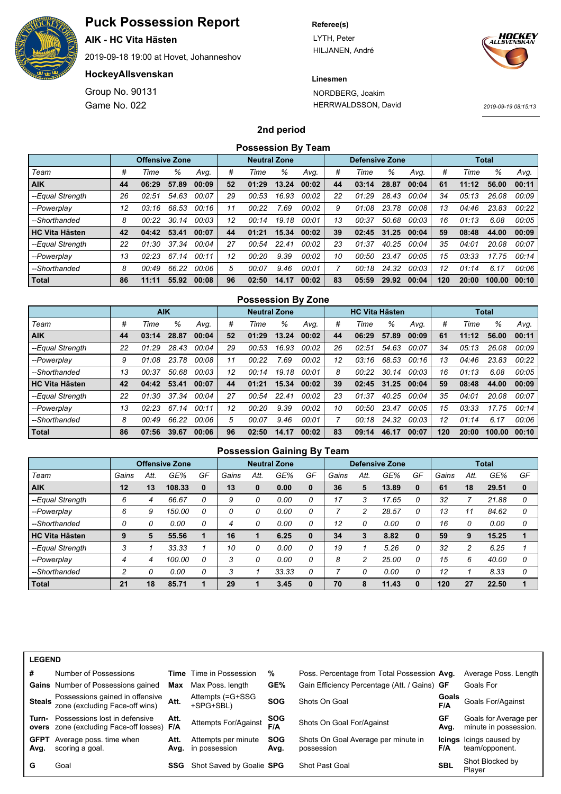

**AIK - HC Vita Hästen**

2019-09-18 19:00 at Hovet, Johanneshov

## **HockeyAllsvenskan**

Game No. 022 Group No. 90131

#### **Referee(s)**

LYTH, Peter HILJANEN, André



## **Linesmen**

NORDBERG, Joakim HERRWALDSSON, David

*2019-09-19 08:15:13*

### **2nd period**

|                       | <b>Possession By Team</b><br><b>Neutral Zone</b><br><b>Defensive Zone</b> |                       |       |       |    |       |       |       |    |       |       |       |     |       |              |       |
|-----------------------|---------------------------------------------------------------------------|-----------------------|-------|-------|----|-------|-------|-------|----|-------|-------|-------|-----|-------|--------------|-------|
|                       |                                                                           | <b>Offensive Zone</b> |       |       |    |       |       |       |    |       |       |       |     |       | <b>Total</b> |       |
| Team                  | #                                                                         | Time                  | %     | Avg.  | #  | Time  | %     | Avg.  | #  | Time  | %     | Avg.  | #   | Time  | %            | Avg.  |
| <b>AIK</b>            | 44                                                                        | 06:29                 | 57.89 | 00:09 | 52 | 01:29 | 13.24 | 00:02 | 44 | 03:14 | 28.87 | 00:04 | 61  | 11:12 | 56.00        | 00:11 |
| --Equal Strength      | 26                                                                        | 02:51                 | 54.63 | 00:07 | 29 | 00:53 | 16.93 | 00:02 | 22 | 01:29 | 28.43 | 00:04 | 34  | 05:13 | 26.08        | 00:09 |
| --Powerplay           | 12                                                                        | 03:16                 | 68.53 | 00:16 | 11 | 00:22 | 7.69  | 00:02 | 9  | 01:08 | 23.78 | 00:08 | 13  | 04:46 | 23.83        | 00:22 |
| --Shorthanded         | 8                                                                         | 00:22                 | 30.14 | 00:03 | 12 | 00:14 | 19.18 | 00:01 | 13 | 00:37 | 50.68 | 00:03 | 16  | 01:13 | 6.08         | 00:05 |
| <b>HC Vita Hästen</b> | 42                                                                        | 04:42                 | 53.41 | 00:07 | 44 | 01:21 | 15.34 | 00:02 | 39 | 02:45 | 31.25 | 00:04 | 59  | 08:48 | 44.00        | 00:09 |
| --Equal Strength      | 22                                                                        | 01:30                 | 37.34 | 00:04 | 27 | 00:54 | 22.41 | 00:02 | 23 | 01:37 | 40.25 | 00:04 | 35  | 04:01 | 20.08        | 00:07 |
| --Powerplay           | 13                                                                        | 02:23                 | 67.14 | 00:11 | 12 | 00:20 | 9.39  | 00:02 | 10 | 00:50 | 23.47 | 00:05 | 15  | 03:33 | 17.75        | 00:14 |
| --Shorthanded         | 8                                                                         | 00:49                 | 66.22 | 00:06 | 5  | 00:07 | 9.46  | 00:01 |    | 00:18 | 24.32 | 00:03 | 12  | 01:14 | 6.17         | 00:06 |
| <b>Total</b>          | 86                                                                        | 11:11                 | 55.92 | 00:08 | 96 | 02:50 | 14.17 | 00:02 | 83 | 05:59 | 29.92 | 00:04 | 120 | 20:00 | 100.00       | 00:10 |

|                       |    |            |       |       |    | <b>Possession By Zone</b> |       |       |    |                       |       |       |     |       |              |       |
|-----------------------|----|------------|-------|-------|----|---------------------------|-------|-------|----|-----------------------|-------|-------|-----|-------|--------------|-------|
|                       |    | <b>AIK</b> |       |       |    | <b>Neutral Zone</b>       |       |       |    | <b>HC Vita Hästen</b> |       |       |     |       | <b>Total</b> |       |
| Team                  | #  | Time       | ℅     | Avg.  | #  | Time                      | %     | Avq.  | #  | Time                  | %     | Avg.  | #   | Time  | %            | Avq.  |
| <b>AIK</b>            | 44 | 03:14      | 28.87 | 00:04 | 52 | 01:29                     | 13.24 | 00:02 | 44 | 06:29                 | 57.89 | 00:09 | 61  | 11:12 | 56.00        | 00:11 |
| --Equal Strength      | 22 | 01:29      | 28.43 | 00:04 | 29 | 00:53                     | 16.93 | 00:02 | 26 | 02:51                 | 54.63 | 00:07 | 34  | 05:13 | 26.08        | 00:09 |
| --Powerplay           | 9  | 01:08      | 23.78 | 00:08 | 11 | 00:22                     | 7.69  | 00:02 | 12 | 03:16                 | 68.53 | 00:16 | 13  | 04:46 | 23.83        | 00:22 |
| --Shorthanded         | 13 | 00:37      | 50.68 | 00:03 | 12 | 00:14                     | 19.18 | 00:01 | 8  | 00:22                 | 30.14 | 00:03 | 16  | 01:13 | 6.08         | 00:05 |
| <b>HC Vita Hästen</b> | 42 | 04:42      | 53.41 | 00:07 | 44 | 01:21                     | 15.34 | 00:02 | 39 | 02:45                 | 31.25 | 00:04 | 59  | 08:48 | 44.00        | 00:09 |
| --Equal Strength      | 22 | 01:30      | 37.34 | 00:04 | 27 | 00:54                     | 22.41 | 00:02 | 23 | 01:37                 | 40.25 | 00:04 | 35  | 04:01 | 20.08        | 00:07 |
| --Powerplay           | 13 | 02:23      | 67.14 | 00:11 | 12 | 00:20                     | 9.39  | 00:02 | 10 | 00:50                 | 23.47 | 00:05 | 15  | 03:33 | 17.75        | 00:14 |
| --Shorthanded         | 8  | 00:49      | 66.22 | 00:06 | 5  | 00:07                     | 9.46  | 00:01 |    | 00:18                 | 24.32 | 00:03 | 12  | 01:14 | 6.17         | 00:06 |
| <b>Total</b>          | 86 | 07:56      | 39.67 | 00:06 | 96 | 02:50                     | 14.17 | 00:02 | 83 | 09:14                 | 46.17 | 00:07 | 120 | 20:00 | 100.00       | 00:10 |

|                       | <b>Possession Gaining By Team</b> |      |                       |          |       |          |                     |          |       |      |                       |    |       |      |              |          |
|-----------------------|-----------------------------------|------|-----------------------|----------|-------|----------|---------------------|----------|-------|------|-----------------------|----|-------|------|--------------|----------|
|                       |                                   |      | <b>Offensive Zone</b> |          |       |          | <b>Neutral Zone</b> |          |       |      | <b>Defensive Zone</b> |    |       |      | <b>Total</b> |          |
| Team                  | Gains                             | Att. | GE%                   | GF       | Gains | Att.     | GE%                 | GF       | Gains | Att. | GE%                   | GF | Gains | Att. | GE%          | GF       |
| <b>AIK</b>            | 12                                | 13   | 108.33                | $\bf{0}$ | 13    | $\bf{0}$ | 0.00                | $\bf{0}$ | 36    | 5    | 13.89                 | 0  | 61    | 18   | 29.51        | $\bf{0}$ |
| --Equal Strength      | 6                                 | 4    | 66.67                 | 0        | 9     | 0        | 0.00                | 0        | 17    |      | 17.65                 | 0  | 32    |      | 21.88        | 0        |
| --Powerplay           | 6                                 | 9    | 150.00                | 0        | 0     | 0        | 0.00                | 0        |       |      | 28.57                 | 0  | 13    | 11   | 84.62        | 0        |
| --Shorthanded         | 0                                 | 0    | 0.00                  | 0        | 4     | 0        | 0.00                | 0        | 12    |      | 0.00                  | 0  | 16    | 0    | 0.00         | 0        |
| <b>HC Vita Hästen</b> | 9                                 | 5    | 55.56                 |          | 16    |          | 6.25                | 0        | 34    | 3    | 8.82                  | 0  | 59    | 9    | 15.25        |          |
| --Equal Strength      | 3                                 |      | 33.33                 |          | 10    | 0        | 0.00                | 0        | 19    |      | 5.26                  | 0  | 32    | 2    | 6.25         |          |
| --Powerplay           | 4                                 | 4    | 100.00                | 0        | 3     | 0        | 0.00                | 0        | 8     |      | 25.00                 | 0  | 15    | 6    | 40.00        | 0        |
| --Shorthanded         | $\mathfrak{p}$                    | 0    | 0.00                  | 0        | 3     |          | 33.33               | 0        |       | 0    | 0.00                  | 0  | 12    |      | 8.33         | 0        |
| <b>Total</b>          | 21                                | 18   | 85.71                 |          | 29    |          | 3.45                |          | 70    | 8    | 11.43                 | 0  | 120   | 27   | 22.50        | 1        |

| <b>LEGEND</b>       |                                                                             |              |                                      |                    |                                                   |              |                                                  |
|---------------------|-----------------------------------------------------------------------------|--------------|--------------------------------------|--------------------|---------------------------------------------------|--------------|--------------------------------------------------|
| #                   | Number of Possessions                                                       |              | <b>Time</b> Time in Possession       | %                  | Poss. Percentage from Total Possession Avg.       |              | Average Poss. Length                             |
|                     | <b>Gains</b> Number of Possessions gained                                   | Max          | Max Poss, length                     | GE%                | Gain Efficiency Percentage (Att. / Gains) GF      |              | Goals For                                        |
|                     | Steals Possessions gained in offensive<br>zone (excluding Face-off wins)    | Att.         | Attempts (=G+SSG<br>+SPG+SBL)        | <b>SOG</b>         | Shots On Goal                                     | Goals<br>F/A | Goals For/Against                                |
| Turn-               | Possessions lost in defensive<br>overs zone (excluding Face-off losses) F/A | Att.         | Attempts For/Against                 | <b>SOG</b><br>F/A  | Shots On Goal For/Against                         | GF<br>Avg.   | Goals for Average per<br>minute in possession.   |
| <b>GFPT</b><br>Avg. | Average poss. time when<br>scoring a goal.                                  | Att.<br>Avg. | Attempts per minute<br>in possession | <b>SOG</b><br>Avg. | Shots On Goal Average per minute in<br>possession | F/A          | <b>Icings</b> Icings caused by<br>team/opponent. |
| G                   | Goal                                                                        | SSG          | Shot Saved by Goalie SPG             |                    | Shot Past Goal                                    | SBL          | Shot Blocked by<br>Plaver                        |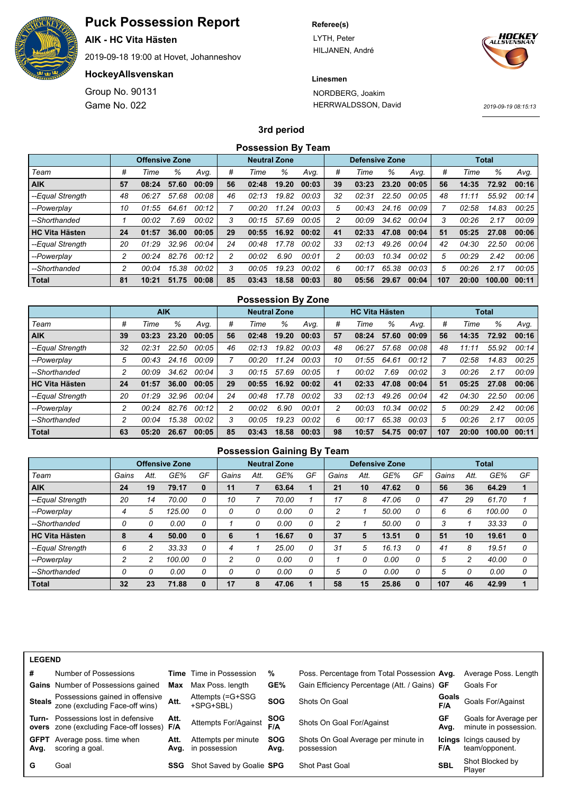

**AIK - HC Vita Hästen**

2019-09-18 19:00 at Hovet, Johanneshov

## **HockeyAllsvenskan**

Game No. 022 Group No. 90131

#### **Referee(s)**

LYTH, Peter HILJANEN, André



## **Linesmen**

NORDBERG, Joakim HERRWALDSSON, David

*2019-09-19 08:15:13*

## **3rd period**

|                       | <b>Possession By Team</b> |                       |       |       |    |                     |       |       |    |                       |       |       |     |       |              |       |
|-----------------------|---------------------------|-----------------------|-------|-------|----|---------------------|-------|-------|----|-----------------------|-------|-------|-----|-------|--------------|-------|
|                       |                           | <b>Offensive Zone</b> |       |       |    | <b>Neutral Zone</b> |       |       |    | <b>Defensive Zone</b> |       |       |     |       | <b>Total</b> |       |
| Team                  | #                         | Time                  | ℅     | Avq.  | #  | Time                | %     | Avg.  | #  | Time                  | ℅     | Avq.  | #   | Time  | %            | Avq.  |
| <b>AIK</b>            | 57                        | 08:24                 | 57.60 | 00:09 | 56 | 02:48               | 19.20 | 00:03 | 39 | 03:23                 | 23.20 | 00:05 | 56  | 14:35 | 72.92        | 00:16 |
| --Equal Strength      | 48                        | 06:27                 | 57.68 | 00:08 | 46 | 02:13               | 19.82 | 00:03 | 32 | 02:31                 | 22.50 | 00:05 | 48  | 11:11 | 55.92        | 00:14 |
| --Powerplay           | 10                        | 01:55                 | 64.61 | 00:12 |    | 00:20               | 11.24 | 00:03 | 5  | 00:43                 | 24.16 | 00:09 |     | 02:58 | 14.83        | 00:25 |
| --Shorthanded         |                           | 00:02                 | 7.69  | 00:02 | 3  | 00:15               | 57.69 | 00:05 | 2  | 00:09                 | 34.62 | 00:04 | 3   | 00:26 | 2.17         | 00:09 |
| <b>HC Vita Hästen</b> | 24                        | 01:57                 | 36.00 | 00:05 | 29 | 00:55               | 16.92 | 00:02 | 41 | 02:33                 | 47.08 | 00:04 | 51  | 05:25 | 27.08        | 00:06 |
| --Equal Strength      | 20                        | 01:29                 | 32.96 | 00:04 | 24 | 00:48               | 17.78 | 00:02 | 33 | 02:13                 | 49.26 | 00:04 | 42  | 04:30 | 22.50        | 00:06 |
| --Powerplay           | 2                         | 00:24                 | 82.76 | 00:12 | 2  | 00:02               | 6.90  | 00:01 | 2  | 00:03                 | 10.34 | 00:02 | 5   | 00:29 | 2.42         | 00:06 |
| --Shorthanded         | 2                         | 00:04                 | 15.38 | 00:02 | 3  | 00:05               | 19.23 | 00:02 | 6  | 00:17                 | 65.38 | 00:03 | 5   | 00:26 | 2.17         | 00:05 |
| <b>Total</b>          | 81                        | 10:21                 | 51.75 | 00:08 | 85 | 03:43               | 18.58 | 00:03 | 80 | 05:56                 | 29.67 | 00:04 | 107 | 20:00 | 100.00       | 00:11 |

|                       |    |            |       |       |    | <b>Possession By Zone</b> |       |       |                |                       |       |       |     |       |              |       |
|-----------------------|----|------------|-------|-------|----|---------------------------|-------|-------|----------------|-----------------------|-------|-------|-----|-------|--------------|-------|
|                       |    | <b>AIK</b> |       |       |    | <b>Neutral Zone</b>       |       |       |                | <b>HC Vita Hästen</b> |       |       |     |       | <b>Total</b> |       |
| Team                  | #  | Time       | %     | Avg.  | #  | Time                      | %     | Avq.  | #              | Time                  | %     | Avq.  | #   | Time  | %            | Avg.  |
| <b>AIK</b>            | 39 | 03:23      | 23.20 | 00:05 | 56 | 02:48                     | 19.20 | 00:03 | 57             | 08:24                 | 57.60 | 00:09 | 56  | 14:35 | 72.92        | 00:16 |
| --Equal Strength      | 32 | 02:31      | 22.50 | 00:05 | 46 | 02:13                     | 19.82 | 00:03 | 48             | 06:27                 | 57.68 | 00:08 | 48  | 11:11 | 55.92        | 00:14 |
| --Powerplay           | 5  | 00:43      | 24.16 | 00:09 |    | 00:20                     | 11.24 | 00:03 | 10             | 01:55                 | 64.61 | 00:12 |     | 02:58 | 14.83        | 00:25 |
| --Shorthanded         | 2  | 00:09      | 34.62 | 00:04 | 3  | 00:15                     | 57.69 | 00:05 |                | 00:02                 | 7.69  | 00:02 | 3   | 00:26 | 2.17         | 00:09 |
| <b>HC Vita Hästen</b> | 24 | 01:57      | 36.00 | 00:05 | 29 | 00:55                     | 16.92 | 00:02 | 41             | 02:33                 | 47.08 | 00:04 | 51  | 05:25 | 27.08        | 00:06 |
| --Equal Strength      | 20 | 01:29      | 32.96 | 00:04 | 24 | 00:48                     | 17.78 | 00:02 | 33             | 02:13                 | 49.26 | 00:04 | 42  | 04:30 | 22.50        | 00:06 |
| --Powerplay           | 2  | 00:24      | 82.76 | 00:12 | 2  | 00:02                     | 6.90  | 00:01 | $\overline{c}$ | 00:03                 | 10.34 | 00:02 | 5   | 00:29 | 2.42         | 00:06 |
| --Shorthanded         | 2  | 00:04      | 15.38 | 00:02 | 3  | 00:05                     | 19.23 | 00:02 | 6              | 00:17                 | 65.38 | 00:03 | 5   | 00:26 | 2.17         | 00:05 |
| Total                 | 63 | 05:20      | 26.67 | 00:05 | 85 | 03:43                     | 18.58 | 00:03 | 98             | 10:57                 | 54.75 | 00:07 | 107 | 20:00 | 100.00       | 00:11 |

| <b>Possession Gaining By Team</b> |       |      |                       |          |       |          |                     |    |       |          |                       |    |       |      |              |          |
|-----------------------------------|-------|------|-----------------------|----------|-------|----------|---------------------|----|-------|----------|-----------------------|----|-------|------|--------------|----------|
|                                   |       |      | <b>Offensive Zone</b> |          |       |          | <b>Neutral Zone</b> |    |       |          | <b>Defensive Zone</b> |    |       |      | <b>Total</b> |          |
| Team                              | Gains | Att. | GE%                   | GF       | Gains | Att.     | GE%                 | GF | Gains | Att.     | GE%                   | GF | Gains | Att. | GE%          | GF       |
| <b>AIK</b>                        | 24    | 19   | 79.17                 | $\bf{0}$ | 11    |          | 63.64               |    | 21    | 10       | 47.62                 | 0  | 56    | 36   | 64.29        |          |
| --Equal Strength                  | 20    | 14   | 70.00                 | 0        | 10    |          | 70.00               |    | 17    | 8        | 47.06                 | 0  | 47    | 29   | 61.70        |          |
| --Powerplay                       | 4     | 5    | 125.00                | 0        | 0     | 0        | 0.00                | 0  | 2     |          | 50.00                 | 0  | 6     | 6    | 100.00       | 0        |
| --Shorthanded                     | 0     | 0    | 0.00                  | 0        |       | 0        | 0.00                | 0  | 2     |          | 50.00                 | 0  |       |      | 33.33        | 0        |
| <b>HC Vita Hästen</b>             | 8     | 4    | 50.00                 | $\bf{0}$ | 6     |          | 16.67               | 0  | 37    | 5        | 13.51                 | 0  | 51    | 10   | 19.61        | $\bf{0}$ |
| --Equal Strength                  | 6     | 2    | 33.33                 | 0        | 4     |          | 25.00               | 0  | 31    | 5        | 16.13                 | 0  | 41    | 8    | 19.51        | 0        |
| --Powerplay                       | 2     | 2    | 100.00                | 0        | 2     | 0        | 0.00                | 0  |       | $\Omega$ | 0.00                  | 0  | 5     | 2    | 40.00        | 0        |
| --Shorthanded                     | 0     | 0    | 0.00                  | 0        | 0     | $\Omega$ | 0.00                | 0  | 5     | $\Omega$ | 0.00                  | 0  | 5     | 0    | 0.00         | 0        |
| <b>Total</b>                      | 32    | 23   | 71.88                 | $\bf{0}$ | 17    | 8        | 47.06               |    | 58    | 15       | 25.86                 | 0  | 107   | 46   | 42.99        | 1        |

| <b>LEGEND</b>       |                                                                                           |      |                                           |                    |                                                   |              |                                                  |
|---------------------|-------------------------------------------------------------------------------------------|------|-------------------------------------------|--------------------|---------------------------------------------------|--------------|--------------------------------------------------|
| #                   | Number of Possessions                                                                     |      | <b>Time</b> Time in Possession            | %                  | Poss. Percentage from Total Possession Avg.       |              | Average Poss. Length                             |
|                     | <b>Gains</b> Number of Possessions gained                                                 | Max  | Max Poss. length                          | GE%                | Gain Efficiency Percentage (Att. / Gains) GF      |              | Goals For                                        |
|                     | <b>Steals</b> Possessions gained in offensive<br>zone (excluding Face-off wins)           | Att. | Attempts (=G+SSG<br>+SPG+SBL)             | <b>SOG</b>         | Shots On Goal                                     | Goals<br>F/A | Goals For/Against                                |
| Turn-               | Possessions lost in defensive<br><b>overs</b> zone (excluding Face-off losses) <b>F/A</b> | Att. | Attempts For/Against                      | <b>SOG</b><br>F/A  | Shots On Goal For/Against                         | GF<br>Avg.   | Goals for Average per<br>minute in possession.   |
| <b>GFPT</b><br>Avg. | Average poss, time when<br>scoring a goal.                                                | Att. | Attempts per minute<br>Avg. in possession | <b>SOG</b><br>Avg. | Shots On Goal Average per minute in<br>possession | F/A          | <b>Icings</b> Icings caused by<br>team/opponent. |
| G                   | Goal                                                                                      | SSG  | Shot Saved by Goalie SPG                  |                    | <b>Shot Past Goal</b>                             | <b>SBL</b>   | Shot Blocked by<br>Player                        |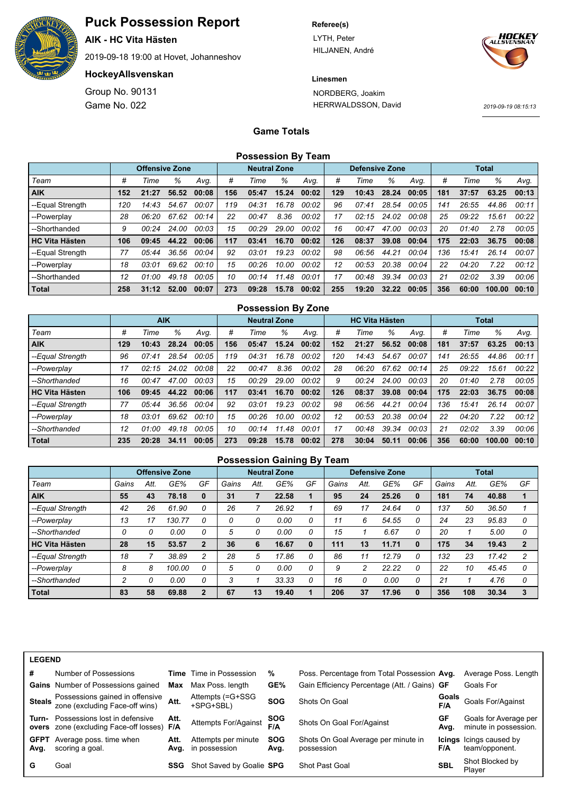![](_page_3_Picture_0.jpeg)

**AIK - HC Vita Hästen**

2019-09-18 19:00 at Hovet, Johanneshov

## **HockeyAllsvenskan**

Game No. 022 Group No. 90131

#### **Referee(s)**

LYTH, Peter HILJANEN, André

![](_page_3_Picture_8.jpeg)

**Linesmen**

NORDBERG, Joakim HERRWALDSSON, David

*2019-09-19 08:15:13*

## **Game Totals**

| <b>Possession By Team</b> |  |  |
|---------------------------|--|--|
|---------------------------|--|--|

|                       |     | <b>Offensive Zone</b> |       |       | <b>Neutral Zone</b> |       |       |       |     | <b>Defensive Zone</b> |       |       | <b>Total</b> |       |        |       |
|-----------------------|-----|-----------------------|-------|-------|---------------------|-------|-------|-------|-----|-----------------------|-------|-------|--------------|-------|--------|-------|
| Team                  | #   | Time                  | %     | Avq.  | #                   | Time  | %     | Avg.  | #   | Time                  | %     | Ava.  | #            | Time  | %      | Avg.  |
| <b>AIK</b>            | 152 | 21:27                 | 56.52 | 00:08 | 156                 | 05:47 | 15.24 | 00:02 | 129 | 10:43                 | 28.24 | 00:05 | 181          | 37:57 | 63.25  | 00:13 |
| --Equal Strength      | 120 | 14:43                 | 54.67 | 00:07 | 119                 | 04:31 | 16.78 | 00:02 | 96  | 07:41                 | 28.54 | 00:05 | 141          | 26:55 | 44.86  | 00:11 |
| --Powerplay           | 28  | 06:20                 | 67.62 | 00:14 | 22                  | 00:47 | 8.36  | 00:02 | 17  | 02:15                 | 24.02 | 00:08 | 25           | 09:22 | 15.61  | 00:22 |
| --Shorthanded         | 9   | 00:24                 | 24.00 | 00:03 | 15                  | 00:29 | 29.00 | 00:02 | 16  | 00:47                 | 47.00 | 00:03 | 20           | 01:40 | 2.78   | 00:05 |
| <b>HC Vita Hästen</b> | 106 | 09:45                 | 44.22 | 00:06 | 117                 | 03:41 | 16.70 | 00:02 | 126 | 08:37                 | 39.08 | 00:04 | 175          | 22:03 | 36.75  | 00:08 |
| --Equal Strength      | 77  | 05:44                 | 36.56 | 00:04 | 92                  | 03:01 | 19.23 | 00:02 | 98  | 06:56                 | 44.21 | 00:04 | 136          | 15:41 | 26.14  | 00:07 |
| --Powerplay           | 18  | 03:01                 | 69.62 | 00:10 | 15                  | 00:26 | 10.00 | 00:02 | 12  | 00:53                 | 20.38 | 00:04 | 22           | 04:20 | 7.22   | 00:12 |
| --Shorthanded         | 12  | 01:00                 | 49.18 | 00:05 | 10                  | 00:14 | 11.48 | 00:01 | 17  | 00:48                 | 39.34 | 00:03 | 21           | 02:02 | 3.39   | 00:06 |
| Total                 | 258 | 31:12                 | 52.00 | 00:07 | 273                 | 09:28 | 15.78 | 00:02 | 255 | 19:20                 | 32.22 | 00:05 | 356          | 60:00 | 100.00 | 00:10 |

|                       | <b>Possession By Zone</b> |            |       |       |                     |       |       |       |     |                       |       |       |              |       |        |       |
|-----------------------|---------------------------|------------|-------|-------|---------------------|-------|-------|-------|-----|-----------------------|-------|-------|--------------|-------|--------|-------|
|                       |                           | <b>AIK</b> |       |       | <b>Neutral Zone</b> |       |       |       |     | <b>HC Vita Hästen</b> |       |       | <b>Total</b> |       |        |       |
| Team                  | #                         | Time       | %     | Avq.  | #                   | Time  | %     | Avg.  | #   | Time                  | %     | Avg.  | #            | Time  | ℅      | Avg.  |
| <b>AIK</b>            | 129                       | 10:43      | 28.24 | 00:05 | 156                 | 05:47 | 15.24 | 00:02 | 152 | 21:27                 | 56.52 | 00:08 | 181          | 37:57 | 63.25  | 00:13 |
| --Equal Strength      | 96                        | 07:41      | 28.54 | 00:05 | 119                 | 04:31 | 16.78 | 00:02 | 120 | 14:43                 | 54.67 | 00:07 | 141          | 26:55 | 44.86  | 00:11 |
| --Powerplay           | 17                        | 02:15      | 24.02 | 00:08 | 22                  | 00:47 | 8.36  | 00:02 | 28  | 06:20                 | 67.62 | 00:14 | 25           | 09:22 | 15.61  | 00:22 |
| --Shorthanded         | 16                        | 00:47      | 47.00 | 00:03 | 15                  | 00:29 | 29.00 | 00:02 | 9   | 00:24                 | 24.00 | 00:03 | 20           | 01:40 | 2.78   | 00:05 |
| <b>HC Vita Hästen</b> | 106                       | 09:45      | 44.22 | 00:06 | 117                 | 03:41 | 16.70 | 00:02 | 126 | 08:37                 | 39.08 | 00:04 | 175          | 22:03 | 36.75  | 00:08 |
| --Equal Strength      | 77                        | 05:44      | 36.56 | 00:04 | 92                  | 03:01 | 19.23 | 00:02 | 98  | 06:56                 | 44.21 | 00:04 | 136          | 15:41 | 26.14  | 00:07 |
| --Powerplay           | 18                        | 03:01      | 69.62 | 00:10 | 15                  | 00:26 | 10.00 | 00:02 | 12  | 00:53                 | 20.38 | 00:04 | 22           | 04:20 | 7.22   | 00:12 |
| --Shorthanded         | 12                        | 01:00      | 49.18 | 00:05 | 10                  | 00:14 | 11.48 | 00:01 | 17  | 00:48                 | 39.34 | 00:03 | 21           | 02:02 | 3.39   | 00:06 |
| <b>Total</b>          | 235                       | 20:28      | 34.11 | 00:05 | 273                 | 09:28 | 15.78 | 00:02 | 278 | 30:04                 | 50.11 | 00:06 | 356          | 60:00 | 100.00 | 00:10 |

## **Possession Gaining By Team**

|                       |       |      | <b>Offensive Zone</b> |                |       |      | <b>Neutral Zone</b> |    |       |      | <b>Defensive Zone</b> |    |       |      | <b>Total</b> |              |
|-----------------------|-------|------|-----------------------|----------------|-------|------|---------------------|----|-------|------|-----------------------|----|-------|------|--------------|--------------|
| Team                  | Gains | Att. | GE%                   | GF             | Gains | Att. | GE%                 | GF | Gains | Att. | GE%                   | GF | Gains | Att. | GE%          | GF           |
| <b>AIK</b>            | 55    | 43   | 78.18                 | $\bf{0}$       | 31    |      | 22.58               |    | 95    | 24   | 25.26                 |    | 181   | 74   | 40.88        |              |
| --Equal Strength      | 42    | 26   | 61.90                 | 0              | 26    |      | 26.92               |    | 69    | 17   | 24.64                 | 0  | 137   | 50   | 36.50        |              |
| --Powerplay           | 13    | 17   | 130.77                | 0              |       | 0    | 0.00                | 0  | 11    | 6    | 54.55                 | 0  | 24    | 23   | 95.83        | 0            |
| --Shorthanded         | 0     | 0    | 0.00                  | 0              | 5     | 0    | 0.00                | 0  | 15    |      | 6.67                  | 0  | 20    |      | 5.00         | 0            |
| <b>HC Vita Hästen</b> | 28    | 15   | 53.57                 | $\overline{2}$ | 36    | 6    | 16.67               | 0  | 111   | 13   | 11.71                 | 0  | 175   | 34   | 19.43        | $\mathbf{2}$ |
| --Equal Strength      | 18    |      | 38.89                 | 2              | 28    | 5    | 17.86               | 0  | 86    | 11   | 12.79                 | 0  | 132   | 23   | 17.42        |              |
| --Powerplay           | 8     | 8    | 100.00                | 0              | 5     | 0    | 0.00                | 0  | 9     | າ    | 22.22                 | 0  | 22    | 10   | 45.45        |              |
| --Shorthanded         | 2     | 0    | 0.00                  | 0              | 3     |      | 33.33               | 0  | 16    |      | 0.00                  | 0  | 21    |      | 4.76         | 0            |
| <b>Total</b>          | 83    | 58   | 69.88                 | $\mathbf{2}$   | 67    | 13   | 19.40               |    | 206   | 37   | 17.96                 |    | 356   | 108  | 30.34        |              |

| #                   | Number of Possessions                                                                    |      | <b>Time</b> Time in Possession            | %                  | Poss. Percentage from Total Possession Avg.       |              | Average Poss. Length                             |
|---------------------|------------------------------------------------------------------------------------------|------|-------------------------------------------|--------------------|---------------------------------------------------|--------------|--------------------------------------------------|
|                     | <b>Gains</b> Number of Possessions gained                                                | Max  | Max Poss. length                          | GE%                | Gain Efficiency Percentage (Att. / Gains) GF      |              | Goals For                                        |
|                     | Steals Possessions gained in offensive<br>zone (excluding Face-off wins) Att.            |      | Attempts (=G+SSG<br>+SPG+SBL)             | <b>SOG</b>         | Shots On Goal                                     | Goals<br>F/A | Goals For/Against                                |
|                     | <b>Turn-</b> Possessions lost in defensive<br>overs zone (excluding Face-off losses) F/A | Att. | Attempts For/Against                      | SOG<br>F/A         | Shots On Goal For/Against                         | GF<br>Avg.   | Goals for Average per<br>minute in possession.   |
| <b>GFPT</b><br>Avg. | Average poss. time when<br>scoring a goal.                                               | Att. | Attempts per minute<br>Avg. in possession | <b>SOG</b><br>Avg. | Shots On Goal Average per minute in<br>possession | F/A          | <b>Icings</b> Icings caused by<br>team/opponent. |
| G                   | Goal                                                                                     | SSG  | Shot Saved by Goalie SPG                  |                    | <b>Shot Past Goal</b>                             | <b>SBL</b>   | Shot Blocked by<br>Plaver                        |